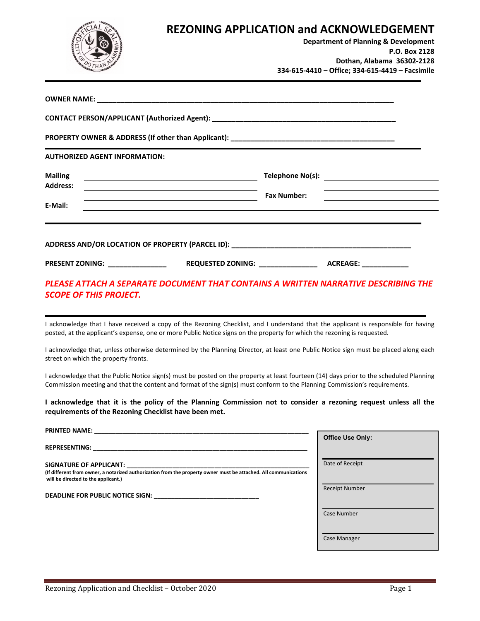

### **REZONING APPLICATION and ACKNOWLEDGEMENT**

**Department of Planning & Development P.O. Box 2128 Dothan, Alabama 36302-2128 334-615-4410 – Office; 334-615-4419 – Facsimile** 

| <b>Mailing</b><br><u> 1989 - Johann Barn, fransk politik (d. 1989)</u>                                                                    |                                   |                                                                     |  |  |
|-------------------------------------------------------------------------------------------------------------------------------------------|-----------------------------------|---------------------------------------------------------------------|--|--|
| <b>Address:</b><br><u> 1989 - Johann Stoff, deutscher Stoffen und der Stoffen und der Stoffen und der Stoffen und der Stoffen und der</u> |                                   |                                                                     |  |  |
| <u> 1989 - Johann Stoff, amerikansk politiker (* 1908)</u><br>E-Mail:                                                                     |                                   | <b>Fax Number:</b><br><u> 1989 - Andrea Andrew Maria (h. 1989).</u> |  |  |
|                                                                                                                                           |                                   |                                                                     |  |  |
| PRESENT ZONING: _________________                                                                                                         | REQUESTED ZONING: _______________ | <b>ACREAGE:</b> ACREAGE:                                            |  |  |

### *PLEASE ATTACH A SEPARATE DOCUMENT THAT CONTAINS A WRITTEN NARRATIVE DESCRIBING THE SCOPE OF THIS PROJECT.*

I acknowledge that I have received a copy of the Rezoning Checklist, and I understand that the applicant is responsible for having posted, at the applicant's expense, one or more Public Notice signs on the property for which the rezoning is requested.

I acknowledge that, unless otherwise determined by the Planning Director, at least one Public Notice sign must be placed along each street on which the property fronts.

I acknowledge that the Public Notice sign(s) must be posted on the property at least fourteen (14) days prior to the scheduled Planning Commission meeting and that the content and format of the sign(s) must conform to the Planning Commission's requirements.

**I acknowledge that it is the policy of the Planning Commission not to consider a rezoning request unless all the requirements of the Rezoning Checklist have been met.** 

| <b>PRINTED NAME:</b>                                                                                                                                                                                                                |                         |
|-------------------------------------------------------------------------------------------------------------------------------------------------------------------------------------------------------------------------------------|-------------------------|
| <u> 1980 - Johann John Stone, markin amerikan bizi da shekara 1980 - Johann Stone, masjidagi karatin a shekara 1</u>                                                                                                                | <b>Office Use Only:</b> |
| REPRESENTING: The contract of the contract of the contract of the contract of the contract of the contract of the contract of the contract of the contract of the contract of the contract of the contract of the contract of       |                         |
| SIGNATURE OF APPLICANT: SIGNATURE OF APPLICANT:                                                                                                                                                                                     | Date of Receipt         |
| (If different from owner, a notarized authorization from the property owner must be attached. All communications<br>will be directed to the applicant.)                                                                             |                         |
| <b>DEADLINE FOR PUBLIC NOTICE SIGN:</b> THE MODEL OF THE MODEL OF THE MODEL OF THE MODEL OF THE MODEL OF THE MODEL OF THE MODEL OF THE MODEL OF THE MODEL OF THE MODEL OF THE MODEL OF THE MODEL OF THE MODEL OF THE MODEL OF THE M | <b>Receipt Number</b>   |
|                                                                                                                                                                                                                                     |                         |
|                                                                                                                                                                                                                                     | Case Number             |
|                                                                                                                                                                                                                                     |                         |
|                                                                                                                                                                                                                                     | Case Manager            |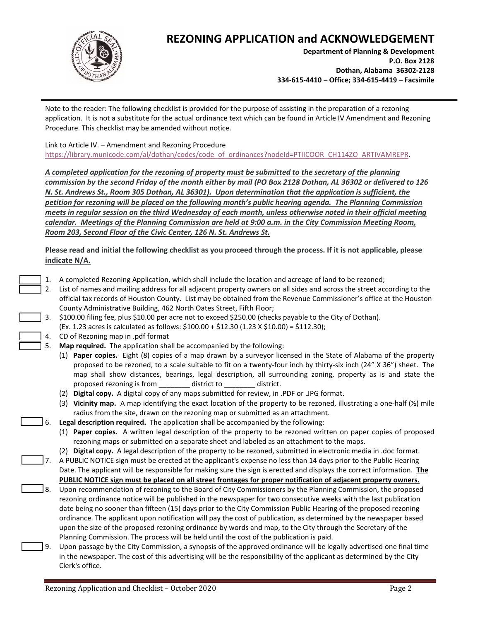

# **REZONING APPLICATION and ACKNOWLEDGEMENT**

**Department of Planning & Development P.O. Box 2128 Dothan, Alabama 36302-2128 334-615-4410 – Office; 334-615-4419 – Facsimile**

Note to the reader: The following checklist is provided for the purpose of assisting in the preparation of a rezoning application. It is not a substitute for the actual ordinance text which can be found in Article IV Amendment and Rezoning Procedure. This checklist may be amended without notice.

#### Link to Article IV. – Amendment and Rezoning Procedure

[https://library.municode.com/al/dothan/codes/code\\_of\\_ordinances?nodeId=PTIICOOR\\_CH114ZO\\_ARTIVAMREPR.](https://library.municode.com/al/dothan/codes/code_of_ordinances?nodeId=PTIICOOR_CH114ZO_ARTIVAMREPR)

*A completed application for the rezoning of property must be submitted to the secretary of the planning commission by the second Friday of the month either by mail (PO Box 2128 Dothan, AL 36302 or delivered to 126 N. St. Andrews St., Room 305 Dothan, AL 36301). Upon determination that the application is sufficient, the petition for rezoning will be placed on the following month's public hearing agenda. The Planning Commission meets in regular session on the third Wednesday of each month, unless otherwise noted in their official meeting calendar. Meetings of the Planning Commission are held at 9:00 a.m. in the City Commission Meeting Room, Room 203, Second Floor of the Civic Center, 126 N. St. Andrews St.*

**Please read and initial the following checklist as you proceed through the process. If it is not applicable, please indicate N/A.** 

- 1. A completed Rezoning Application, which shall include the location and acreage of land to be rezoned;
- 2. List of names and mailing address for all adjacent property owners on all sides and across the street according to the official tax records of Houston County. List may be obtained from the Revenue Commissioner's office at the Houston County Administrative Building, 462 North Oates Street, Fifth Floor;
- 3. \$100.00 filing fee, plus \$10.00 per acre not to exceed \$250.00 (checks payable to the City of Dothan).
	- (Ex. 1.23 acres is calculated as follows: \$100.00 + \$12.30 (1.23 X \$10.00) = \$112.30);
- 4. CD of Rezoning map in .pdf format
	- 5. **Map required.** The application shall be accompanied by the following:
		- (1) **Paper copies.** Eight (8) copies of a map drawn by a surveyor licensed in the State of Alabama of the property proposed to be rezoned, to a scale suitable to fit on a twenty-four inch by thirty-six inch (24" X 36") sheet. The map shall show distances, bearings, legal description, all surrounding zoning, property as is and state the proposed rezoning is from \_\_\_\_\_\_\_\_ district to \_\_\_\_\_\_\_\_ district.
		- (2) **Digital copy.** A digital copy of any maps submitted for review, in .PDF or .JPG format.
		- (3) **Vicinity map.** A map identifying the exact location of the property to be rezoned, illustrating a one-half (½) mile radius from the site, drawn on the rezoning map or submitted as an attachment.
	- 6. **Legal description required.** The application shall be accompanied by the following:
		- (1) **Paper copies.** A written legal description of the property to be rezoned written on paper copies of proposed rezoning maps or submitted on a separate sheet and labeled as an attachment to the maps.
		- (2) **Digital copy.** A legal description of the property to be rezoned, submitted in electronic media in .doc format.
- 7. A PUBLIC NOTICE sign must be erected at the applicant's expense no less than 14 days prior to the Public Hearing Date. The applicant will be responsible for making sure the sign is erected and displays the correct information. **The PUBLIC NOTICE sign must be placed on all street frontages for proper notification of adjacent property owners.**
- 8. Upon recommendation of rezoning to the Board of City Commissioners by the Planning Commission, the proposed rezoning ordinance notice will be published in the newspaper for two consecutive weeks with the last publication date being no sooner than fifteen (15) days prior to the City Commission Public Hearing of the proposed rezoning ordinance. The applicant upon notification will pay the cost of publication, as determined by the newspaper based upon the size of the proposed rezoning ordinance by words and map, to the City through the Secretary of the Planning Commission. The process will be held until the cost of the publication is paid.
	- Upon passage by the City Commission, a synopsis of the approved ordinance will be legally advertised one final time in the newspaper. The cost of this advertising will be the responsibility of the applicant as determined by the City Clerk's office.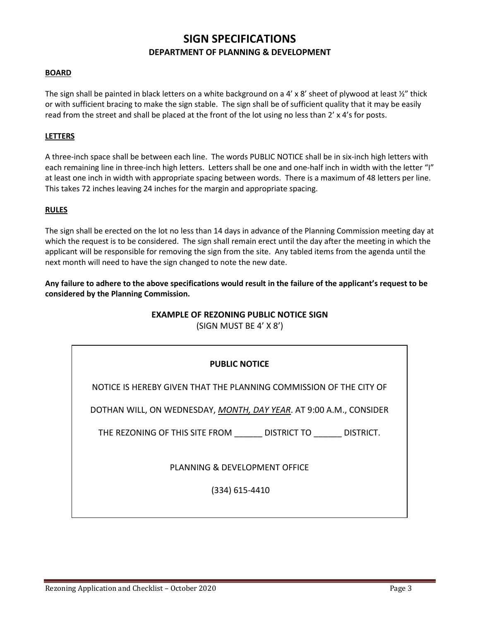## **SIGN SPECIFICATIONS DEPARTMENT OF PLANNING & DEVELOPMENT**

#### **BOARD**

The sign shall be painted in black letters on a white background on a 4' x 8' sheet of plywood at least  $\frac{1}{2}$ " thick or with sufficient bracing to make the sign stable. The sign shall be of sufficient quality that it may be easily read from the street and shall be placed at the front of the lot using no less than 2' x 4's for posts.

#### **LETTERS**

A three-inch space shall be between each line. The words PUBLIC NOTICE shall be in six-inch high letters with each remaining line in three-inch high letters. Letters shall be one and one-half inch in width with the letter "I" at least one inch in width with appropriate spacing between words. There is a maximum of 48 letters per line. This takes 72 inches leaving 24 inches for the margin and appropriate spacing.

#### **RULES**

The sign shall be erected on the lot no less than 14 days in advance of the Planning Commission meeting day at which the request is to be considered. The sign shall remain erect until the day after the meeting in which the applicant will be responsible for removing the sign from the site. Any tabled items from the agenda until the next month will need to have the sign changed to note the new date.

#### **Any failure to adhere to the above specifications would result in the failure of the applicant's request to be considered by the Planning Commission.**

#### **EXAMPLE OF REZONING PUBLIC NOTICE SIGN**

(SIGN MUST BE 4' X 8')

#### **PUBLIC NOTICE**

NOTICE IS HEREBY GIVEN THAT THE PLANNING COMMISSION OF THE CITY OF

DOTHAN WILL, ON WEDNESDAY, *MONTH, DAY YEAR*. AT 9:00 A.M., CONSIDER

THE REZONING OF THIS SITE FROM \_\_\_\_\_\_ DISTRICT TO \_\_\_\_\_\_ DISTRICT.

PLANNING & DEVELOPMENT OFFICE

(334) 615-4410